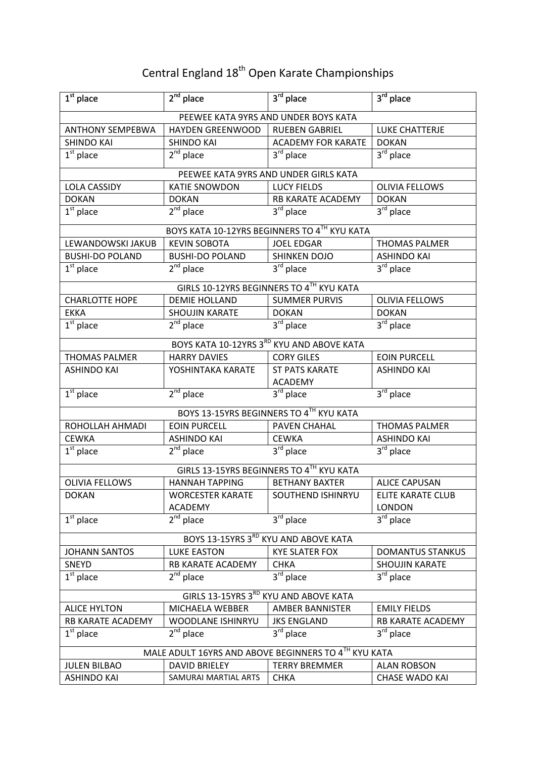## Central England 18<sup>th</sup> Open Karate Championships

| $\overline{1}^{st}$ place                            | $2nd$ place                      | $3rd$ place                                  | $3rd$ place                            |  |
|------------------------------------------------------|----------------------------------|----------------------------------------------|----------------------------------------|--|
|                                                      |                                  | PEEWEE KATA 9YRS AND UNDER BOYS KATA         |                                        |  |
| <b>ANTHONY SEMPEBWA</b>                              | <b>HAYDEN GREENWOOD</b>          | <b>RUEBEN GABRIEL</b>                        | <b>LUKE CHATTERJE</b>                  |  |
| <b>SHINDO KAI</b>                                    | <b>SHINDO KAI</b>                | <b>ACADEMY FOR KARATE</b>                    | <b>DOKAN</b>                           |  |
| $1st$ place                                          | $2nd$ place                      | $3rd$ place                                  | 3rd place                              |  |
|                                                      |                                  | PEEWEE KATA 9YRS AND UNDER GIRLS KATA        |                                        |  |
| <b>LOLA CASSIDY</b>                                  | <b>KATIE SNOWDON</b>             | <b>LUCY FIELDS</b>                           | <b>OLIVIA FELLOWS</b>                  |  |
| <b>DOKAN</b>                                         | <b>DOKAN</b>                     | <b>RB KARATE ACADEMY</b>                     | <b>DOKAN</b>                           |  |
| $\overline{1^{st}}$ place                            | $2nd$ place                      | $3rd$ place                                  | 3 <sup>rd</sup> place                  |  |
|                                                      |                                  | BOYS KATA 10-12YRS BEGINNERS TO 4TH KYU KATA |                                        |  |
| LEWANDOWSKI JAKUB                                    | <b>KEVIN SOBOTA</b>              | <b>JOEL EDGAR</b>                            | <b>THOMAS PALMER</b>                   |  |
| <b>BUSHI-DO POLAND</b>                               | <b>BUSHI-DO POLAND</b>           | <b>SHINKEN DOJO</b>                          | <b>ASHINDO KAI</b>                     |  |
| $1st$ place                                          | $2nd$ place                      | 3rd place                                    | 3rd place                              |  |
|                                                      |                                  | GIRLS 10-12YRS BEGINNERS TO 4TH KYU KATA     |                                        |  |
| <b>CHARLOTTE HOPE</b>                                | <b>DEMIE HOLLAND</b>             | <b>SUMMER PURVIS</b>                         | <b>OLIVIA FELLOWS</b>                  |  |
| <b>EKKA</b>                                          | <b>SHOUJIN KARATE</b>            | <b>DOKAN</b>                                 | <b>DOKAN</b>                           |  |
| $\overline{1}^{\text{st}}$ place                     | $2^{nd}$ place                   | $\overline{3^{rd}}$ place                    | $3rd$ place                            |  |
|                                                      |                                  | BOYS KATA 10-12YRS 3RD KYU AND ABOVE KATA    |                                        |  |
| <b>THOMAS PALMER</b>                                 | <b>HARRY DAVIES</b>              | <b>CORY GILES</b>                            | <b>EOIN PURCELL</b>                    |  |
| <b>ASHINDO KAI</b>                                   | YOSHINTAKA KARATE                | <b>ST PATS KARATE</b><br><b>ACADEMY</b>      | <b>ASHINDO KAI</b>                     |  |
| $1st$ place                                          | $2^{nd}$ place                   | $3rd$ place                                  | 3rd place                              |  |
|                                                      |                                  | BOYS 13-15YRS BEGINNERS TO 4TH KYU KATA      |                                        |  |
| ROHOLLAH AHMADI                                      | <b>EOIN PURCELL</b>              | PAVEN CHAHAL                                 | <b>THOMAS PALMER</b>                   |  |
| <b>CEWKA</b>                                         | <b>ASHINDO KAI</b>               | <b>CEWKA</b>                                 | <b>ASHINDO KAI</b>                     |  |
| $1st$ place                                          | $2^{nd}$ place                   | $\overline{3}^{\text{rd}}$ place             | 3 <sup>rd</sup> place                  |  |
| GIRLS 13-15YRS BEGINNERS TO 4TH KYU KATA             |                                  |                                              |                                        |  |
| <b>OLIVIA FELLOWS</b>                                | <b>HANNAH TAPPING</b>            | <b>BETHANY BAXTER</b>                        | <b>ALICE CAPUSAN</b>                   |  |
| <b>DOKAN</b>                                         | <b>WORCESTER KARATE</b>          | SOUTHEND ISHINRYU                            | ELITE KARATE CLUB                      |  |
| $\overline{1^{st}}$ place                            | <b>ACADEMY</b><br>$2^{nd}$ place | 3 <sup>rd</sup> place                        | <b>LONDON</b><br>3 <sup>rd</sup> place |  |
|                                                      |                                  |                                              |                                        |  |
| BOYS 13-15YRS 3RD KYU AND ABOVE KATA                 |                                  |                                              |                                        |  |
| <b>JOHANN SANTOS</b>                                 | <b>LUKE EASTON</b>               | <b>KYE SLATER FOX</b>                        | <b>DOMANTUS STANKUS</b>                |  |
| SNEYD                                                | RB KARATE ACADEMY                | <b>CHKA</b>                                  | <b>SHOUJIN KARATE</b>                  |  |
| $1st$ place                                          | $2^{nd}$ place                   | $3rd$ place                                  | $3^{\text{rd}}$ place                  |  |
| GIRLS 13-15YRS 3RD KYU AND ABOVE KATA                |                                  |                                              |                                        |  |
| <b>ALICE HYLTON</b>                                  | MICHAELA WEBBER                  | <b>AMBER BANNISTER</b>                       | <b>EMILY FIELDS</b>                    |  |
| RB KARATE ACADEMY                                    | WOODLANE ISHINRYU                | <b>JKS ENGLAND</b>                           | RB KARATE ACADEMY                      |  |
| $1st$ place                                          | $2nd$ place                      | $3rd$ place                                  | 3 <sup>rd</sup> place                  |  |
| MALE ADULT 16YRS AND ABOVE BEGINNERS TO 4TH KYU KATA |                                  |                                              |                                        |  |
| <b>JULEN BILBAO</b>                                  | <b>DAVID BRIELEY</b>             | <b>TERRY BREMMER</b>                         | <b>ALAN ROBSON</b>                     |  |
| <b>ASHINDO KAI</b>                                   | SAMURAI MARTIAL ARTS             | <b>CHKA</b>                                  | <b>CHASE WADO KAI</b>                  |  |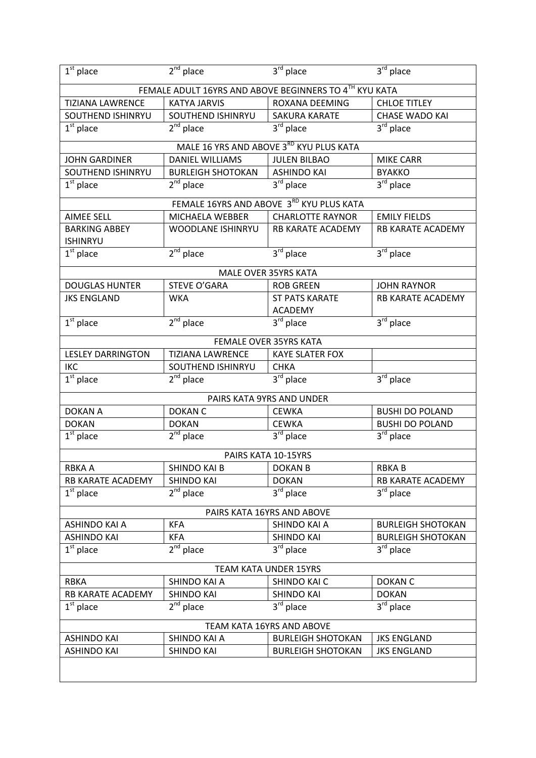| $1st$ place                                                                             | $2nd$ place                                            | 3rd place                                | 3rd place                |  |  |
|-----------------------------------------------------------------------------------------|--------------------------------------------------------|------------------------------------------|--------------------------|--|--|
|                                                                                         | FEMALE ADULT 16YRS AND ABOVE BEGINNERS TO 4TH KYU KATA |                                          |                          |  |  |
| <b>TIZIANA LAWRENCE</b><br><b>KATYA JARVIS</b><br>ROXANA DEEMING<br><b>CHLOE TITLEY</b> |                                                        |                                          |                          |  |  |
| SOUTHEND ISHINRYU                                                                       | SOUTHEND ISHINRYU                                      | SAKURA KARATE                            | <b>CHASE WADO KAI</b>    |  |  |
| $\overline{1}^{\rm st}$ place                                                           | $2nd$ place                                            | $3rd$ place                              | 3rd place                |  |  |
|                                                                                         |                                                        | MALE 16 YRS AND ABOVE 3RD KYU PLUS KATA  |                          |  |  |
| <b>JOHN GARDINER</b>                                                                    | <b>DANIEL WILLIAMS</b>                                 | <b>JULEN BILBAO</b>                      | <b>MIKE CARR</b>         |  |  |
| SOUTHEND ISHINRYU                                                                       | <b>BURLEIGH SHOTOKAN</b>                               | <b>ASHINDO KAI</b>                       | <b>BYAKKO</b>            |  |  |
| $1st$ place                                                                             | $2nd$ place                                            | $3rd$ place                              | $3^{\text{rd}}$ place    |  |  |
|                                                                                         |                                                        | FEMALE 16YRS AND ABOVE 3RD KYU PLUS KATA |                          |  |  |
| <b>AIMEE SELL</b>                                                                       | MICHAELA WEBBER                                        | <b>CHARLOTTE RAYNOR</b>                  | <b>EMILY FIELDS</b>      |  |  |
| <b>BARKING ABBEY</b>                                                                    | WOODLANE ISHINRYU                                      | RB KARATE ACADEMY                        | RB KARATE ACADEMY        |  |  |
| <b>ISHINRYU</b>                                                                         |                                                        |                                          |                          |  |  |
| $1st$ place                                                                             | $2nd$ place                                            | $3rd$ place                              | 3rd place                |  |  |
|                                                                                         |                                                        | <b>MALE OVER 35YRS KATA</b>              |                          |  |  |
| <b>DOUGLAS HUNTER</b>                                                                   | STEVE O'GARA                                           | <b>ROB GREEN</b>                         | <b>JOHN RAYNOR</b>       |  |  |
| <b>JKS ENGLAND</b>                                                                      | <b>WKA</b>                                             | <b>ST PATS KARATE</b>                    | RB KARATE ACADEMY        |  |  |
|                                                                                         |                                                        | <b>ACADEMY</b>                           |                          |  |  |
| $\overline{1^{st}}$ place                                                               | $2nd$ place                                            | $3rd$ place                              | 3 <sup>rd</sup> place    |  |  |
|                                                                                         |                                                        | FEMALE OVER 35YRS KATA                   |                          |  |  |
| <b>LESLEY DARRINGTON</b>                                                                | <b>TIZIANA LAWRENCE</b>                                | <b>KAYE SLATER FOX</b>                   |                          |  |  |
| <b>IKC</b>                                                                              | SOUTHEND ISHINRYU                                      | <b>CHKA</b>                              |                          |  |  |
| $\overline{1^{st}}$ place                                                               | $\overline{2^{nd}}$ place                              | $3^{\overline{\text{rd}}}$ place         | $3^{rd}$ place           |  |  |
|                                                                                         |                                                        | PAIRS KATA 9YRS AND UNDER                |                          |  |  |
| <b>DOKAN A</b>                                                                          | <b>DOKAN C</b>                                         | <b>CEWKA</b>                             | <b>BUSHI DO POLAND</b>   |  |  |
| <b>DOKAN</b>                                                                            | <b>DOKAN</b>                                           | <b>CEWKA</b>                             | <b>BUSHI DO POLAND</b>   |  |  |
| $1st$ place                                                                             | $2nd$ place                                            | $3rd$ place                              | $3rd$ place              |  |  |
|                                                                                         |                                                        | PAIRS KATA 10-15YRS                      |                          |  |  |
| RBKA A                                                                                  | <b>SHINDO KAI B</b>                                    | <b>DOKAN B</b>                           | <b>RBKAB</b>             |  |  |
| RB KARATE ACADEMY                                                                       | <b>SHINDO KAI</b>                                      | <b>DOKAN</b>                             | RB KARATE ACADEMY        |  |  |
| $\overline{1}^{\text{st}}$ place                                                        | $2nd$ place                                            | 3 <sup>rd</sup> place                    | 3rd place                |  |  |
| PAIRS KATA 16YRS AND ABOVE                                                              |                                                        |                                          |                          |  |  |
| ASHINDO KAI A                                                                           | <b>KFA</b>                                             | SHINDO KAI A                             | <b>BURLEIGH SHOTOKAN</b> |  |  |
| <b>ASHINDO KAI</b>                                                                      | <b>KFA</b>                                             | <b>SHINDO KAI</b>                        | <b>BURLEIGH SHOTOKAN</b> |  |  |
| $1st$ place                                                                             | $2nd$ place                                            | $3rd$ place                              | 3 <sup>rd</sup> place    |  |  |
| <b>TEAM KATA UNDER 15YRS</b>                                                            |                                                        |                                          |                          |  |  |
| <b>RBKA</b>                                                                             | SHINDO KAI A                                           | SHINDO KAI C                             | <b>DOKAN C</b>           |  |  |
| RB KARATE ACADEMY                                                                       | <b>SHINDO KAI</b>                                      | <b>SHINDO KAI</b>                        | <b>DOKAN</b>             |  |  |
| $1st$ place                                                                             | $2^{nd}$ place                                         | 3rd place                                | $3rd$ place              |  |  |
| TEAM KATA 16YRS AND ABOVE                                                               |                                                        |                                          |                          |  |  |
| <b>ASHINDO KAI</b>                                                                      | SHINDO KAI A                                           | <b>BURLEIGH SHOTOKAN</b>                 | <b>JKS ENGLAND</b>       |  |  |
| <b>ASHINDO KAI</b>                                                                      | SHINDO KAI                                             | <b>BURLEIGH SHOTOKAN</b>                 | <b>JKS ENGLAND</b>       |  |  |
|                                                                                         |                                                        |                                          |                          |  |  |
|                                                                                         |                                                        |                                          |                          |  |  |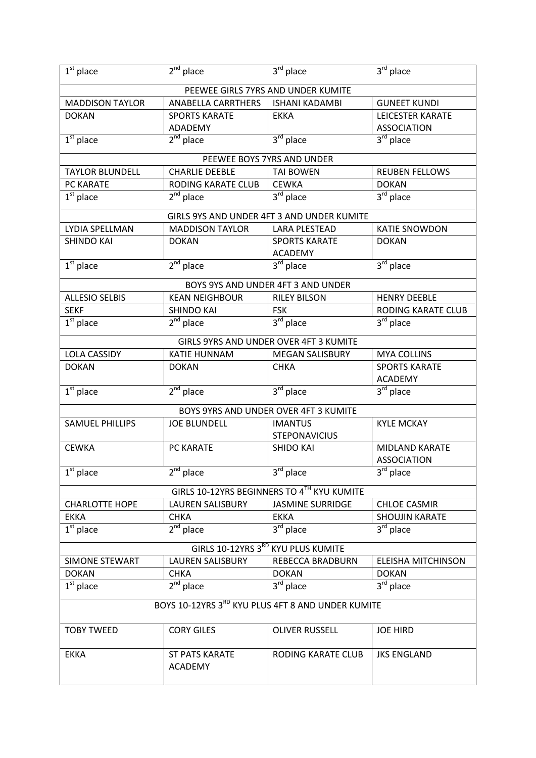| $\overline{1}^{\text{st}}$ place                  | $2nd$ place             | $3rd$ place                                | $3^{\overline{\text{rd}}}$ place |
|---------------------------------------------------|-------------------------|--------------------------------------------|----------------------------------|
|                                                   |                         | PEEWEE GIRLS 7YRS AND UNDER KUMITE         |                                  |
| <b>MADDISON TAYLOR</b>                            | ANABELLA CARRTHERS      | <b>ISHANI KADAMBI</b>                      | <b>GUNEET KUNDI</b>              |
| <b>DOKAN</b>                                      | <b>SPORTS KARATE</b>    | <b>EKKA</b>                                | LEICESTER KARATE                 |
|                                                   | ADADEMY                 |                                            | <b>ASSOCIATION</b>               |
| $1st$ place                                       | $2nd$ place             | $3rd$ place                                | $3rd$ place                      |
|                                                   |                         | PEEWEE BOYS 7YRS AND UNDER                 |                                  |
| <b>TAYLOR BLUNDELL</b>                            | <b>CHARLIE DEEBLE</b>   | <b>TAI BOWEN</b>                           | <b>REUBEN FELLOWS</b>            |
| PC KARATE                                         | RODING KARATE CLUB      | <b>CEWKA</b>                               | <b>DOKAN</b>                     |
| $1st$ place                                       | $2nd$ place             | $\overline{3^{rd}}$ place                  | $3rd$ place                      |
|                                                   |                         | GIRLS 9YS AND UNDER 4FT 3 AND UNDER KUMITE |                                  |
| LYDIA SPELLMAN                                    | <b>MADDISON TAYLOR</b>  | <b>LARA PLESTEAD</b>                       | <b>KATIE SNOWDON</b>             |
| <b>SHINDO KAI</b>                                 | <b>DOKAN</b>            | <b>SPORTS KARATE</b>                       | <b>DOKAN</b>                     |
|                                                   |                         | <b>ACADEMY</b>                             |                                  |
| $1st$ place                                       | $2nd$ place             | $3rd$ place                                | $3^{\text{rd}}$ place            |
|                                                   |                         | BOYS 9YS AND UNDER 4FT 3 AND UNDER         |                                  |
| <b>ALLESIO SELBIS</b>                             | <b>KEAN NEIGHBOUR</b>   | <b>RILEY BILSON</b>                        | <b>HENRY DEEBLE</b>              |
| <b>SEKF</b>                                       | <b>SHINDO KAI</b>       | <b>FSK</b>                                 | RODING KARATE CLUB               |
| $1st$ place                                       | $2nd$ place             | $3rd$ place                                | 3rd place                        |
|                                                   |                         | GIRLS 9YRS AND UNDER OVER 4FT 3 KUMITE     |                                  |
| <b>LOLA CASSIDY</b>                               | <b>KATIE HUNNAM</b>     | <b>MEGAN SALISBURY</b>                     | <b>MYA COLLINS</b>               |
| <b>DOKAN</b>                                      | <b>DOKAN</b>            | <b>CHKA</b>                                | <b>SPORTS KARATE</b>             |
|                                                   |                         |                                            | <b>ACADEMY</b>                   |
| $1st$ place                                       | $2nd$ place             | $3rd$ place                                | $3^{rd}$ place                   |
|                                                   |                         | BOYS 9YRS AND UNDER OVER 4FT 3 KUMITE      |                                  |
| <b>SAMUEL PHILLIPS</b>                            | <b>JOE BLUNDELL</b>     | <b>IMANTUS</b>                             | <b>KYLE MCKAY</b>                |
|                                                   |                         | <b>STEPONAVICIUS</b>                       |                                  |
| <b>CEWKA</b>                                      | PC KARATE               | <b>SHIDO KAI</b>                           | MIDLAND KARATE                   |
|                                                   |                         |                                            | <b>ASSOCIATION</b>               |
| $1st$ place                                       | $2nd$ place             | $3rd$ place                                | $3rd$ place                      |
|                                                   |                         | GIRLS 10-12YRS BEGINNERS TO 4TH KYU KUMITE |                                  |
| <b>CHARLOTTE HOPE</b>                             | <b>LAUREN SALISBURY</b> | <b>JASMINE SURRIDGE</b>                    | <b>CHLOE CASMIR</b>              |
| <b>EKKA</b>                                       | <b>CHKA</b>             | <b>EKKA</b>                                | SHOUJIN KARATE                   |
| $1st$ place                                       | $2nd$ place             | $3rd$ place                                | 3rd place                        |
| GIRLS 10-12YRS 3RD KYU PLUS KUMITE                |                         |                                            |                                  |
| <b>SIMONE STEWART</b>                             | <b>LAUREN SALISBURY</b> | REBECCA BRADBURN                           | <b>ELEISHA MITCHINSON</b>        |
| <b>DOKAN</b>                                      | <b>CHKA</b>             | <b>DOKAN</b>                               | <b>DOKAN</b>                     |
| $1st$ place                                       | $2nd$ place             | 3rd place                                  | $3^{\overline{\text{rd}}}$ place |
| BOYS 10-12YRS 3RD KYU PLUS 4FT 8 AND UNDER KUMITE |                         |                                            |                                  |
|                                                   |                         |                                            |                                  |
| <b>TOBY TWEED</b>                                 | <b>CORY GILES</b>       | <b>OLIVER RUSSELL</b>                      | <b>JOE HIRD</b>                  |
| <b>EKKA</b>                                       | <b>ST PATS KARATE</b>   | <b>RODING KARATE CLUB</b>                  | <b>JKS ENGLAND</b>               |
|                                                   | <b>ACADEMY</b>          |                                            |                                  |
|                                                   |                         |                                            |                                  |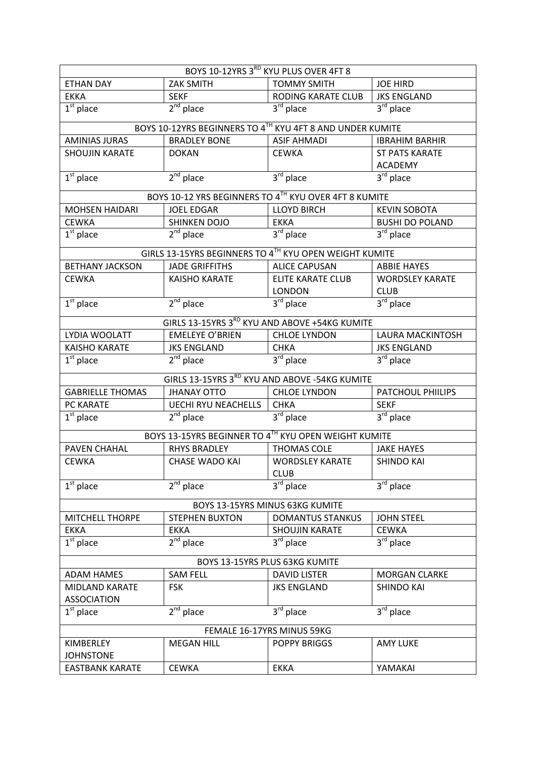| BOYS 10-12YRS 3RD KYU PLUS OVER 4FT 8       |                                                           |                                       |                                  |  |  |
|---------------------------------------------|-----------------------------------------------------------|---------------------------------------|----------------------------------|--|--|
| <b>ETHAN DAY</b>                            | <b>ZAK SMITH</b>                                          | <b>TOMMY SMITH</b>                    | <b>JOE HIRD</b>                  |  |  |
| <b>EKKA</b>                                 | <b>SEKF</b>                                               | RODING KARATE CLUB                    | <b>JKS ENGLAND</b>               |  |  |
| $\overline{1^{st}}$ place                   | $2nd$ place                                               | $3rd$ place                           | $3rd$ place                      |  |  |
|                                             | BOYS 10-12YRS BEGINNERS TO 4TH KYU 4FT 8 AND UNDER KUMITE |                                       |                                  |  |  |
| <b>AMINIAS JURAS</b>                        | <b>BRADLEY BONE</b>                                       | <b>ASIF AHMADI</b>                    | <b>IBRAHIM BARHIR</b>            |  |  |
| <b>SHOUJIN KARATE</b>                       | <b>DOKAN</b>                                              | <b>CEWKA</b>                          | <b>ST PATS KARATE</b>            |  |  |
|                                             |                                                           |                                       | <b>ACADEMY</b>                   |  |  |
| $1st$ place                                 | $2nd$ place                                               | $3rd$ place                           | 3rd place                        |  |  |
|                                             | BOYS 10-12 YRS BEGINNERS TO 4TH KYU OVER 4FT 8 KUMITE     |                                       |                                  |  |  |
| <b>MOHSEN HAIDARI</b>                       | <b>JOEL EDGAR</b>                                         | <b>LLOYD BIRCH</b>                    | <b>KEVIN SOBOTA</b>              |  |  |
| <b>CEWKA</b>                                | <b>SHINKEN DOJO</b>                                       | <b>EKKA</b>                           | <b>BUSHI DO POLAND</b>           |  |  |
| $1st$ place                                 | $2nd$ place                                               | 3rd place                             | $\overline{3}^{\text{rd}}$ place |  |  |
|                                             | GIRLS 13-15YRS BEGINNERS TO 4TH KYU OPEN WEIGHT KUMITE    |                                       |                                  |  |  |
| <b>BETHANY JACKSON</b>                      | <b>JADE GRIFFITHS</b>                                     | <b>ALICE CAPUSAN</b>                  | <b>ABBIE HAYES</b>               |  |  |
| <b>CEWKA</b>                                | <b>KAISHO KARATE</b>                                      | <b>ELITE KARATE CLUB</b>              | <b>WORDSLEY KARATE</b>           |  |  |
|                                             |                                                           | <b>LONDON</b>                         | <b>CLUB</b>                      |  |  |
| $1st$ place                                 | $2nd$ place                                               | $3rd$ place                           | $3rd$ place                      |  |  |
|                                             | GIRLS 13-15YRS 3RD KYU AND ABOVE +54KG KUMITE             |                                       |                                  |  |  |
| LYDIA WOOLATT                               | <b>EMELEYE O'BRIEN</b>                                    | <b>CHLOE LYNDON</b>                   | <b>LAURA MACKINTOSH</b>          |  |  |
| <b>KAISHO KARATE</b>                        | <b>JKS ENGLAND</b>                                        | <b>CHKA</b>                           | <b>JKS ENGLAND</b>               |  |  |
| $1st$ place                                 | $2nd$ place                                               | $3rd$ place                           | 3rd place                        |  |  |
|                                             | GIRLS 13-15YRS 3RD KYU AND ABOVE -54KG KUMITE             |                                       |                                  |  |  |
| <b>GABRIELLE THOMAS</b>                     | <b>JHANAY OTTO</b>                                        | <b>CHLOE LYNDON</b>                   | <b>PATCHOUL PHIILIPS</b>         |  |  |
| PC KARATE                                   | <b>UECHI RYU NEACHELLS</b>                                | <b>CHKA</b>                           | <b>SEKF</b>                      |  |  |
| $1st$ place                                 | $2^{nd}$ place                                            | $3rd$ place                           | 3rd place                        |  |  |
|                                             | BOYS 13-15YRS BEGINNER TO 4TH KYU OPEN WEIGHT KUMITE      |                                       |                                  |  |  |
| <b>PAVEN CHAHAL</b>                         | <b>RHYS BRADLEY</b>                                       | <b>THOMAS COLE</b>                    | <b>JAKE HAYES</b>                |  |  |
| <b>CEWKA</b>                                | <b>CHASE WADO KAI</b>                                     | <b>WORDSLEY KARATE</b><br><b>CLUB</b> | <b>SHINDO KAI</b>                |  |  |
| $\overline{1^{st}}$ place                   | $2nd$ place                                               | 3 <sup>rd</sup> place                 | $3rd$ place                      |  |  |
| BOYS 13-15YRS MINUS 63KG KUMITE             |                                                           |                                       |                                  |  |  |
| <b>MITCHELL THORPE</b>                      | <b>STEPHEN BUXTON</b>                                     | <b>DOMANTUS STANKUS</b>               | <b>JOHN STEEL</b>                |  |  |
| <b>EKKA</b>                                 |                                                           | <b>SHOUJIN KARATE</b>                 | <b>CEWKA</b>                     |  |  |
| $1st$ place                                 | EKKA<br>$2nd$ place                                       | $3rd$ place                           | 3 <sup>rd</sup> place            |  |  |
|                                             |                                                           |                                       |                                  |  |  |
| BOYS 13-15YRS PLUS 63KG KUMITE              |                                                           |                                       |                                  |  |  |
| <b>ADAM HAMES</b>                           | <b>SAM FELL</b>                                           | <b>DAVID LISTER</b>                   | <b>MORGAN CLARKE</b>             |  |  |
| <b>MIDLAND KARATE</b><br><b>ASSOCIATION</b> | <b>FSK</b>                                                | <b>JKS ENGLAND</b>                    | <b>SHINDO KAI</b>                |  |  |
| $1st$ place                                 | $2nd$ place                                               | $3rd$ place                           | $3rd$ place                      |  |  |
|                                             |                                                           | FEMALE 16-17YRS MINUS 59KG            |                                  |  |  |
| KIMBERLEY                                   | <b>MEGAN HILL</b>                                         | <b>POPPY BRIGGS</b>                   | <b>AMY LUKE</b>                  |  |  |
| <b>JOHNSTONE</b>                            |                                                           |                                       |                                  |  |  |
| <b>EASTBANK KARATE</b>                      | <b>CEWKA</b>                                              | <b>EKKA</b>                           | YAMAKAI                          |  |  |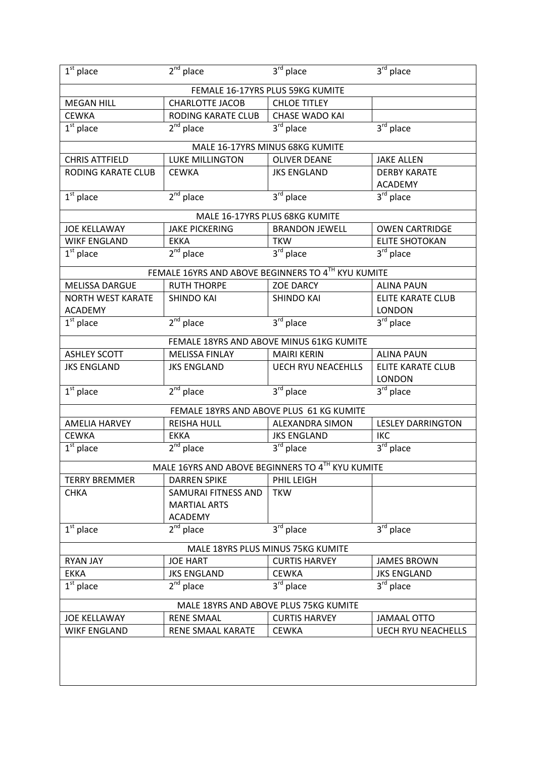| $1st$ place                           | $2nd$ place                                        | 3rd place                                | 3rd place                        |  |  |
|---------------------------------------|----------------------------------------------------|------------------------------------------|----------------------------------|--|--|
|                                       |                                                    | FEMALE 16-17YRS PLUS 59KG KUMITE         |                                  |  |  |
| <b>MEGAN HILL</b>                     | <b>CHARLOTTE JACOB</b>                             | <b>CHLOE TITLEY</b>                      |                                  |  |  |
| <b>CEWKA</b>                          | RODING KARATE CLUB                                 | <b>CHASE WADO KAI</b>                    |                                  |  |  |
| $1st$ place                           | $2nd$ place                                        | $3rd$ place                              | $3rd$ place                      |  |  |
|                                       |                                                    | MALE 16-17YRS MINUS 68KG KUMITE          |                                  |  |  |
| <b>CHRIS ATTFIELD</b>                 | <b>LUKE MILLINGTON</b>                             | <b>OLIVER DEANE</b>                      | <b>JAKE ALLEN</b>                |  |  |
| <b>RODING KARATE CLUB</b>             | <b>CEWKA</b>                                       | <b>JKS ENGLAND</b>                       | <b>DERBY KARATE</b>              |  |  |
|                                       |                                                    |                                          | <b>ACADEMY</b>                   |  |  |
| $1st$ place                           | $2nd$ place                                        | $3rd$ place                              | 3rd place                        |  |  |
|                                       |                                                    | MALE 16-17YRS PLUS 68KG KUMITE           |                                  |  |  |
| <b>JOE KELLAWAY</b>                   | <b>JAKE PICKERING</b>                              | <b>BRANDON JEWELL</b>                    | <b>OWEN CARTRIDGE</b>            |  |  |
| <b>WIKF ENGLAND</b>                   | <b>EKKA</b>                                        | <b>TKW</b>                               | <b>ELITE SHOTOKAN</b>            |  |  |
| $1st$ place                           | $2nd$ place                                        | $3rd$ place                              | $3rd$ place                      |  |  |
|                                       | FEMALE 16YRS AND ABOVE BEGINNERS TO 4TH KYU KUMITE |                                          |                                  |  |  |
| <b>MELISSA DARGUE</b>                 | <b>RUTH THORPE</b>                                 | <b>ZOE DARCY</b>                         | <b>ALINA PAUN</b>                |  |  |
| <b>NORTH WEST KARATE</b>              | <b>SHINDO KAI</b>                                  | <b>SHINDO KAI</b>                        | <b>ELITE KARATE CLUB</b>         |  |  |
| <b>ACADEMY</b>                        |                                                    |                                          | <b>LONDON</b>                    |  |  |
| $1st$ place                           | $2nd$ place                                        | $3rd$ place                              | $3rd$ place                      |  |  |
|                                       | FEMALE 18YRS AND ABOVE MINUS 61KG KUMITE           |                                          |                                  |  |  |
| <b>ASHLEY SCOTT</b>                   | <b>MELISSA FINLAY</b>                              | <b>MAIRI KERIN</b>                       | <b>ALINA PAUN</b>                |  |  |
| <b>JKS ENGLAND</b>                    | <b>JKS ENGLAND</b>                                 | <b>UECH RYU NEACEHLLS</b>                | <b>ELITE KARATE CLUB</b>         |  |  |
|                                       |                                                    |                                          | <b>LONDON</b>                    |  |  |
| $1st$ place                           | $2nd$ place                                        | $3rd$ place                              | $3rd$ place                      |  |  |
|                                       |                                                    | FEMALE 18YRS AND ABOVE PLUS 61 KG KUMITE |                                  |  |  |
| <b>AMELIA HARVEY</b>                  | <b>REISHA HULL</b>                                 | <b>ALEXANDRA SIMON</b>                   | <b>LESLEY DARRINGTON</b>         |  |  |
| <b>CEWKA</b>                          | <b>EKKA</b>                                        | <b>JKS ENGLAND</b>                       | <b>IKC</b>                       |  |  |
| $1st$ place                           | $2nd$ place                                        | 3 <sup>rd</sup> place                    | 3 <sup>rd</sup> place            |  |  |
|                                       | MALE 16YRS AND ABOVE BEGINNERS TO 4TH KYU KUMITE   |                                          |                                  |  |  |
| <b>TERRY BREMMER</b>                  | <b>DARREN SPIKE</b>                                | PHIL LEIGH                               |                                  |  |  |
| <b>CHKA</b>                           | SAMURAI FITNESS AND                                | <b>TKW</b>                               |                                  |  |  |
|                                       | <b>MARTIAL ARTS</b>                                |                                          |                                  |  |  |
|                                       | <b>ACADEMY</b>                                     |                                          |                                  |  |  |
| $1st$ place                           | $2^{nd}$ place                                     | 3rd place                                | $3rd$ place                      |  |  |
| MALE 18YRS PLUS MINUS 75KG KUMITE     |                                                    |                                          |                                  |  |  |
| <b>RYAN JAY</b>                       | <b>JOE HART</b>                                    | <b>CURTIS HARVEY</b>                     | <b>JAMES BROWN</b>               |  |  |
| <b>EKKA</b>                           | <b>JKS ENGLAND</b>                                 | <b>CEWKA</b>                             | <b>JKS ENGLAND</b>               |  |  |
| $1st$ place                           | $2^{nd}$ place                                     | $3^{\text{rd}}$ place                    | $3^{\overline{\text{rd}}}$ place |  |  |
| MALE 18YRS AND ABOVE PLUS 75KG KUMITE |                                                    |                                          |                                  |  |  |
| <b>JOE KELLAWAY</b>                   | <b>RENE SMAAL</b>                                  | <b>CURTIS HARVEY</b>                     | <b>JAMAAL OTTO</b>               |  |  |
| <b>WIKF ENGLAND</b>                   | RENE SMAAL KARATE                                  | <b>CEWKA</b>                             | <b>UECH RYU NEACHELLS</b>        |  |  |
|                                       |                                                    |                                          |                                  |  |  |
|                                       |                                                    |                                          |                                  |  |  |
|                                       |                                                    |                                          |                                  |  |  |